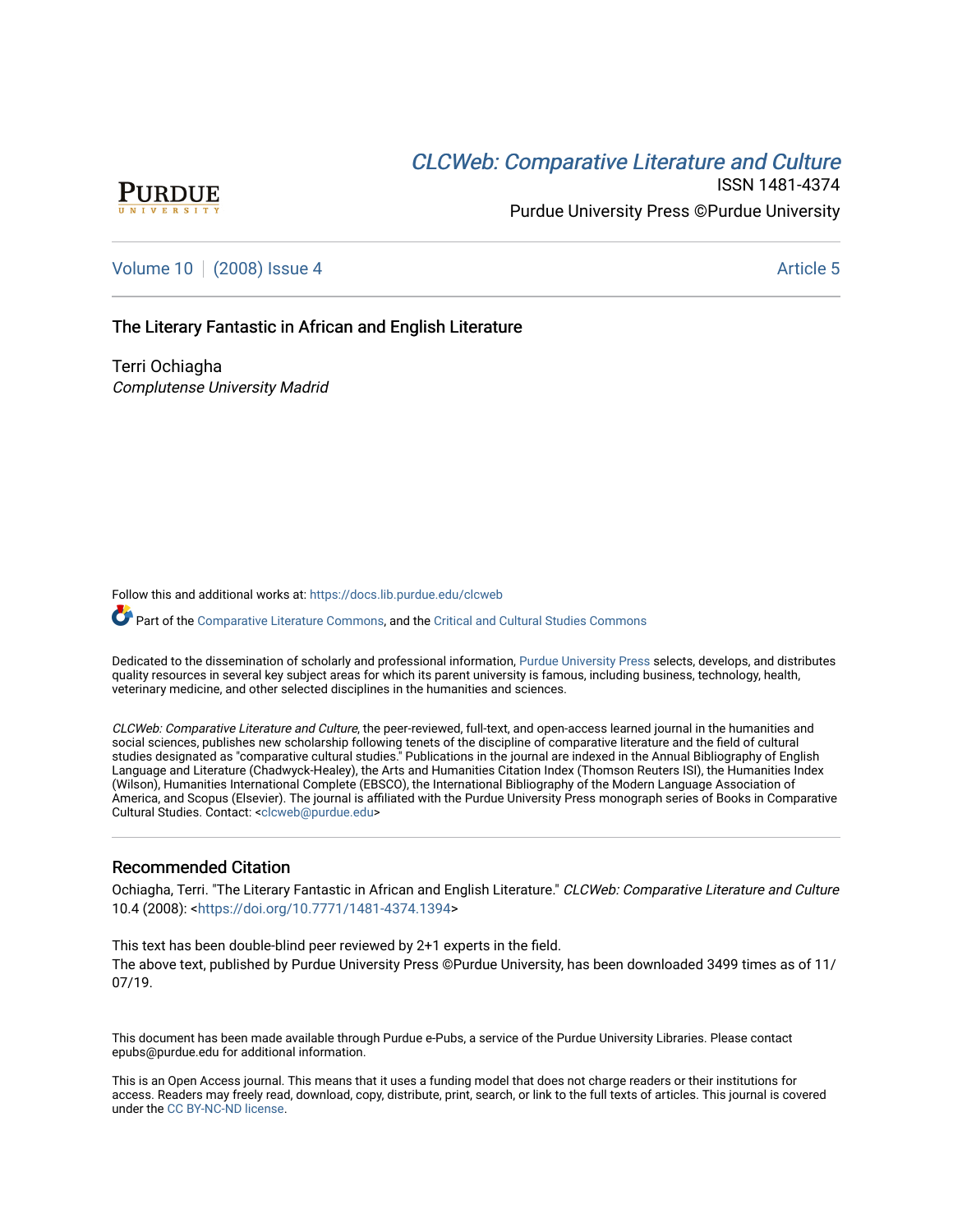# **CLCW[eb: Comparative Liter](https://docs.lib.purdue.edu/clcweb)ature and Culture**



ISSN 1481-4374 Purdue University Press ©Purdue University

## [Volume 10](https://docs.lib.purdue.edu/clcweb/vol10) | [\(2008\) Issue 4](https://docs.lib.purdue.edu/clcweb/vol10/iss4) Article 5

## The Literary Fantastic in African and English Literature

Terri Ochiagha Complutense University Madrid

Follow this and additional works at: [https://docs.lib.purdue.edu/clcweb](https://docs.lib.purdue.edu/clcweb?utm_source=docs.lib.purdue.edu%2Fclcweb%2Fvol10%2Fiss4%2F5&utm_medium=PDF&utm_campaign=PDFCoverPages)

Part of the [Comparative Literature Commons,](http://network.bepress.com/hgg/discipline/454?utm_source=docs.lib.purdue.edu%2Fclcweb%2Fvol10%2Fiss4%2F5&utm_medium=PDF&utm_campaign=PDFCoverPages) and the Critical and Cultural Studies Commons

Dedicated to the dissemination of scholarly and professional information, [Purdue University Press](http://www.thepress.purdue.edu/) selects, develops, and distributes quality resources in several key subject areas for which its parent university is famous, including business, technology, health, veterinary medicine, and other selected disciplines in the humanities and sciences.

CLCWeb: Comparative Literature and Culture, the peer-reviewed, full-text, and open-access learned journal in the humanities and social sciences, publishes new scholarship following tenets of the discipline of comparative literature and the field of cultural studies designated as "comparative cultural studies." Publications in the journal are indexed in the Annual Bibliography of English Language and Literature (Chadwyck-Healey), the Arts and Humanities Citation Index (Thomson Reuters ISI), the Humanities Index (Wilson), Humanities International Complete (EBSCO), the International Bibliography of the Modern Language Association of America, and Scopus (Elsevier). The journal is affiliated with the Purdue University Press monograph series of Books in Comparative Cultural Studies. Contact: [<clcweb@purdue.edu](mailto:clcweb@purdue.edu)>

## Recommended Citation

Ochiagha, Terri. "The Literary Fantastic in African and English Literature." CLCWeb: Comparative Literature and Culture 10.4 (2008): [<https://doi.org/10.7771/1481-4374.1394>](https://doi.org/10.7771/1481-4374.1394)

This text has been double-blind peer reviewed by 2+1 experts in the field. The above text, published by Purdue University Press ©Purdue University, has been downloaded 3499 times as of 11/ 07/19.

This document has been made available through Purdue e-Pubs, a service of the Purdue University Libraries. Please contact epubs@purdue.edu for additional information.

This is an Open Access journal. This means that it uses a funding model that does not charge readers or their institutions for access. Readers may freely read, download, copy, distribute, print, search, or link to the full texts of articles. This journal is covered under the [CC BY-NC-ND license.](https://creativecommons.org/licenses/by-nc-nd/4.0/)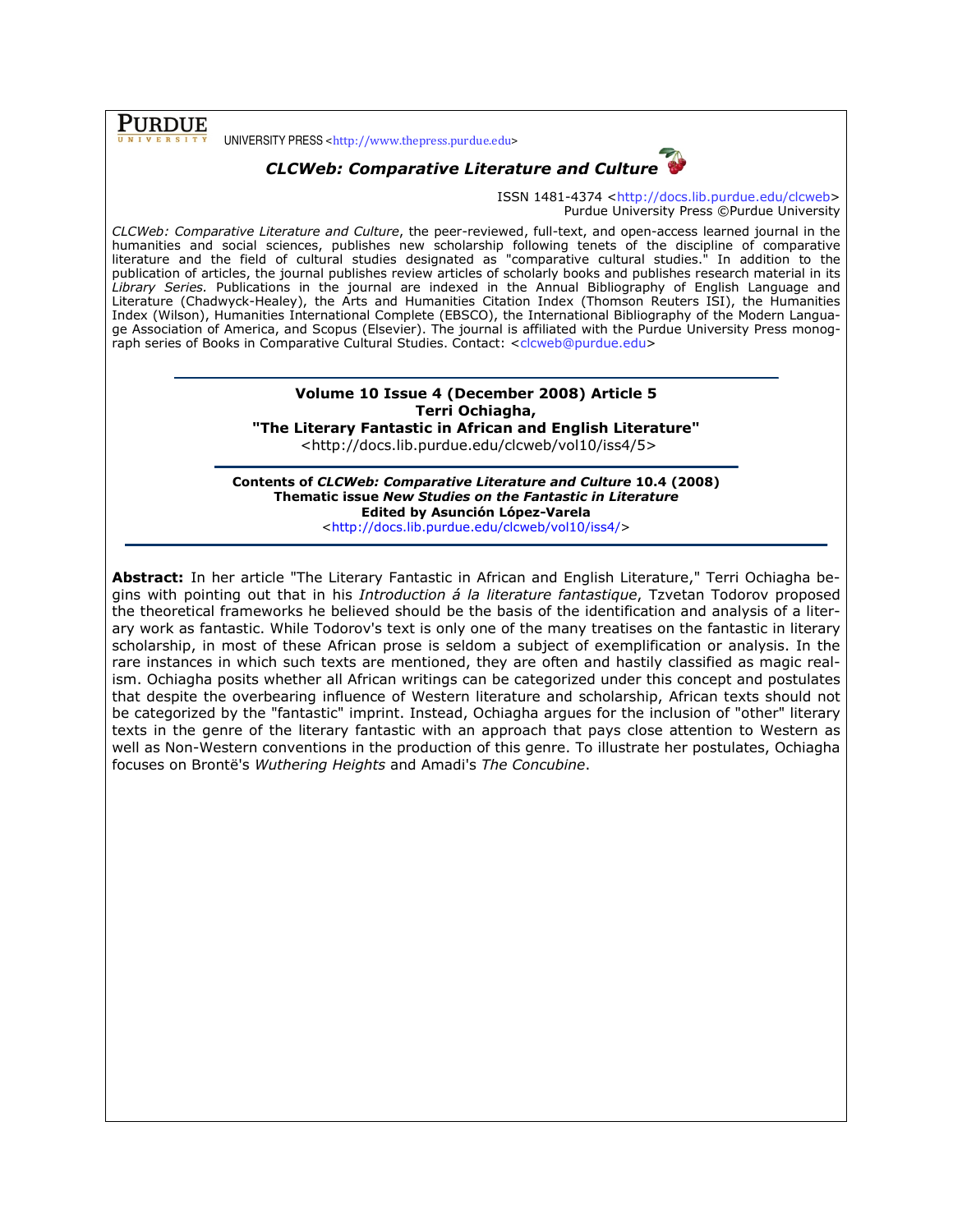**PURDUE** 

UNIVERSITY PRESS <http://www.thepress.purdue.edu>



ISSN 1481-4374 <http://docs.lib.purdue.edu/clcweb> Purdue University Press ©Purdue University

CLCWeb: Comparative Literature and Culture, the peer-reviewed, full-text, and open-access learned journal in the humanities and social sciences, publishes new scholarship following tenets of the discipline of comparative literature and the field of cultural studies designated as "comparative cultural studies." In addition to the publication of articles, the journal publishes review articles of scholarly books and publishes research material in its Library Series. Publications in the journal are indexed in the Annual Bibliography of English Language and Literature (Chadwyck-Healey), the Arts and Humanities Citation Index (Thomson Reuters ISI), the Humanities Index (Wilson), Humanities International Complete (EBSCO), the International Bibliography of the Modern Language Association of America, and Scopus (Elsevier). The journal is affiliated with the Purdue University Press monograph series of Books in Comparative Cultural Studies. Contact: <clcweb@purdue.edu>

### Volume 10 Issue 4 (December 2008) Article 5 Terri Ochiagha, "The Literary Fantastic in African and English Literature"

<http://docs.lib.purdue.edu/clcweb/vol10/iss4/5>

Contents of CLCWeb: Comparative Literature and Culture 10.4 (2008) Thematic issue New Studies on the Fantastic in Literature Edited by Asunción López-Varela

<http://docs.lib.purdue.edu/clcweb/vol10/iss4/>

Abstract: In her article "The Literary Fantastic in African and English Literature," Terri Ochiagha begins with pointing out that in his Introduction á la literature fantastique, Tzvetan Todorov proposed the theoretical frameworks he believed should be the basis of the identification and analysis of a literary work as fantastic. While Todorov's text is only one of the many treatises on the fantastic in literary scholarship, in most of these African prose is seldom a subject of exemplification or analysis. In the rare instances in which such texts are mentioned, they are often and hastily classified as magic realism. Ochiagha posits whether all African writings can be categorized under this concept and postulates that despite the overbearing influence of Western literature and scholarship, African texts should not be categorized by the "fantastic" imprint. Instead, Ochiagha argues for the inclusion of "other" literary texts in the genre of the literary fantastic with an approach that pays close attention to Western as well as Non-Western conventions in the production of this genre. To illustrate her postulates, Ochiagha focuses on Brontë's Wuthering Heights and Amadi's The Concubine.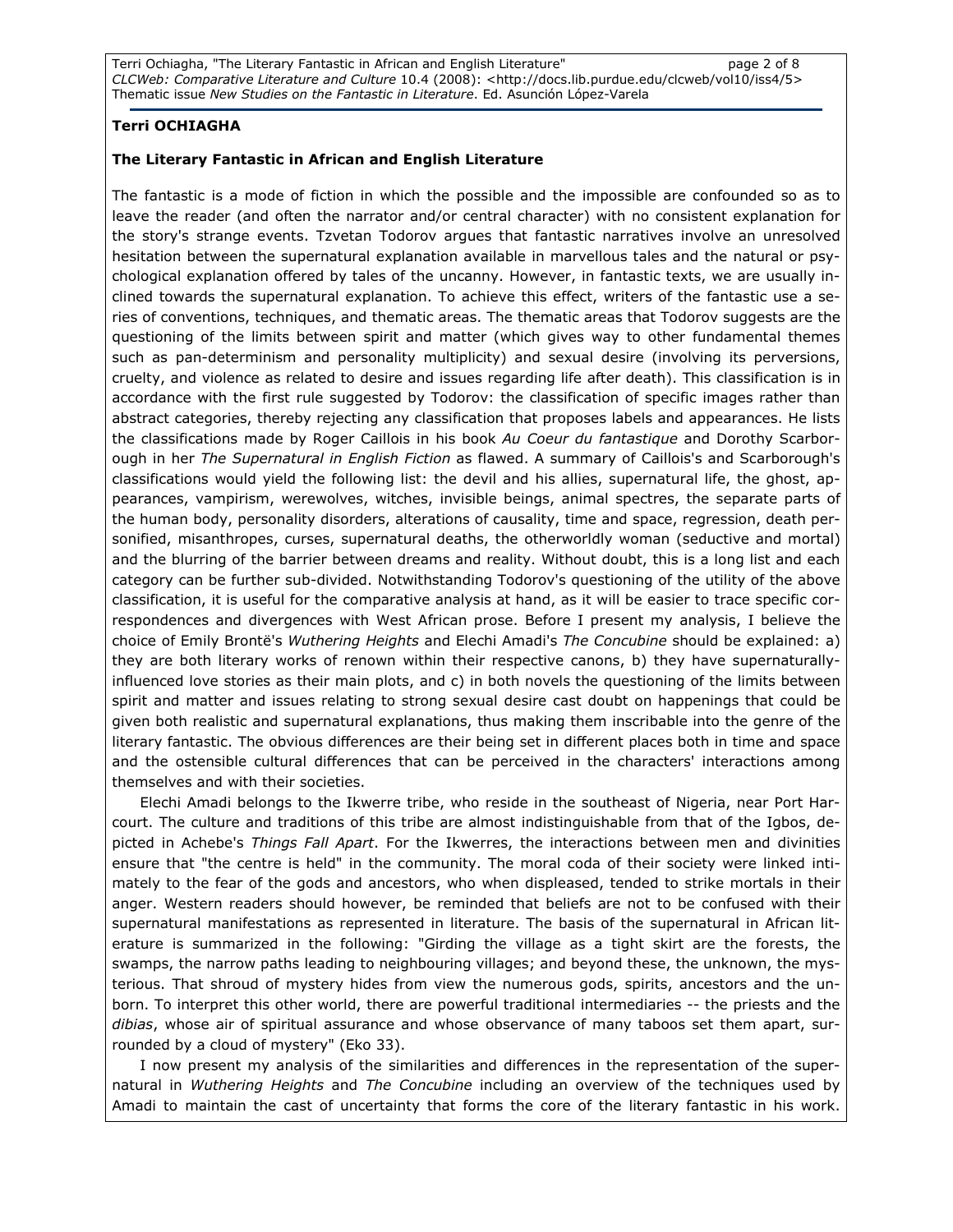Terri Ochiagha, "The Literary Fantastic in African and English Literature" page 2 of 8 CLCWeb: Comparative Literature and Culture 10.4 (2008): <http://docs.lib.purdue.edu/clcweb/vol10/iss4/5> Thematic issue New Studies on the Fantastic in Literature. Ed. Asunción López-Varela

## Terri OCHIAGHA

## The Literary Fantastic in African and English Literature

The fantastic is a mode of fiction in which the possible and the impossible are confounded so as to leave the reader (and often the narrator and/or central character) with no consistent explanation for the story's strange events. Tzvetan Todorov argues that fantastic narratives involve an unresolved hesitation between the supernatural explanation available in marvellous tales and the natural or psychological explanation offered by tales of the uncanny. However, in fantastic texts, we are usually inclined towards the supernatural explanation. To achieve this effect, writers of the fantastic use a series of conventions, techniques, and thematic areas. The thematic areas that Todorov suggests are the questioning of the limits between spirit and matter (which gives way to other fundamental themes such as pan-determinism and personality multiplicity) and sexual desire (involving its perversions, cruelty, and violence as related to desire and issues regarding life after death). This classification is in accordance with the first rule suggested by Todorov: the classification of specific images rather than abstract categories, thereby rejecting any classification that proposes labels and appearances. He lists the classifications made by Roger Caillois in his book Au Coeur du fantastique and Dorothy Scarborough in her The Supernatural in English Fiction as flawed. A summary of Caillois's and Scarborough's classifications would yield the following list: the devil and his allies, supernatural life, the ghost, appearances, vampirism, werewolves, witches, invisible beings, animal spectres, the separate parts of the human body, personality disorders, alterations of causality, time and space, regression, death personified, misanthropes, curses, supernatural deaths, the otherworldly woman (seductive and mortal) and the blurring of the barrier between dreams and reality. Without doubt, this is a long list and each category can be further sub-divided. Notwithstanding Todorov's questioning of the utility of the above classification, it is useful for the comparative analysis at hand, as it will be easier to trace specific correspondences and divergences with West African prose. Before I present my analysis, I believe the choice of Emily Brontë's Wuthering Heights and Elechi Amadi's The Concubine should be explained: a) they are both literary works of renown within their respective canons, b) they have supernaturallyinfluenced love stories as their main plots, and c) in both novels the questioning of the limits between spirit and matter and issues relating to strong sexual desire cast doubt on happenings that could be given both realistic and supernatural explanations, thus making them inscribable into the genre of the literary fantastic. The obvious differences are their being set in different places both in time and space and the ostensible cultural differences that can be perceived in the characters' interactions among themselves and with their societies.

Elechi Amadi belongs to the Ikwerre tribe, who reside in the southeast of Nigeria, near Port Harcourt. The culture and traditions of this tribe are almost indistinguishable from that of the Igbos, depicted in Achebe's Things Fall Apart. For the Ikwerres, the interactions between men and divinities ensure that "the centre is held" in the community. The moral coda of their society were linked intimately to the fear of the gods and ancestors, who when displeased, tended to strike mortals in their anger. Western readers should however, be reminded that beliefs are not to be confused with their supernatural manifestations as represented in literature. The basis of the supernatural in African literature is summarized in the following: "Girding the village as a tight skirt are the forests, the swamps, the narrow paths leading to neighbouring villages; and beyond these, the unknown, the mysterious. That shroud of mystery hides from view the numerous gods, spirits, ancestors and the unborn. To interpret this other world, there are powerful traditional intermediaries -- the priests and the dibias, whose air of spiritual assurance and whose observance of many taboos set them apart, surrounded by a cloud of mystery" (Eko 33).

I now present my analysis of the similarities and differences in the representation of the supernatural in Wuthering Heights and The Concubine including an overview of the techniques used by Amadi to maintain the cast of uncertainty that forms the core of the literary fantastic in his work.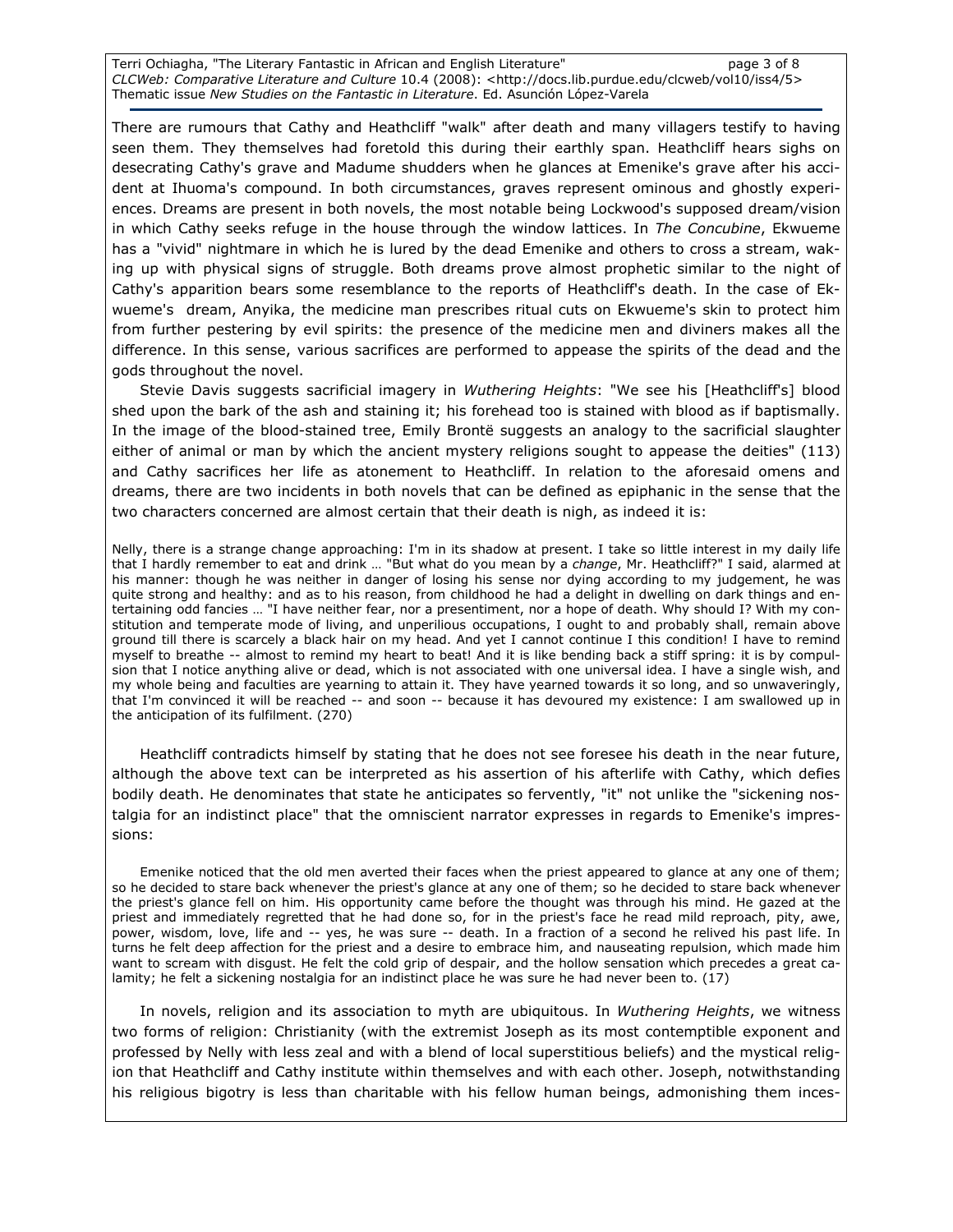Terri Ochiagha, "The Literary Fantastic in African and English Literature" page 3 of 8 CLCWeb: Comparative Literature and Culture 10.4 (2008): <http://docs.lib.purdue.edu/clcweb/vol10/iss4/5> Thematic issue New Studies on the Fantastic in Literature. Ed. Asunción López-Varela

There are rumours that Cathy and Heathcliff "walk" after death and many villagers testify to having seen them. They themselves had foretold this during their earthly span. Heathcliff hears sighs on desecrating Cathy's grave and Madume shudders when he glances at Emenike's grave after his accident at Ihuoma's compound. In both circumstances, graves represent ominous and ghostly experiences. Dreams are present in both novels, the most notable being Lockwood's supposed dream/vision in which Cathy seeks refuge in the house through the window lattices. In The Concubine, Ekwueme has a "vivid" nightmare in which he is lured by the dead Emenike and others to cross a stream, waking up with physical signs of struggle. Both dreams prove almost prophetic similar to the night of Cathy's apparition bears some resemblance to the reports of Heathcliff's death. In the case of Ekwueme's dream, Anyika, the medicine man prescribes ritual cuts on Ekwueme's skin to protect him from further pestering by evil spirits: the presence of the medicine men and diviners makes all the difference. In this sense, various sacrifices are performed to appease the spirits of the dead and the gods throughout the novel.

Stevie Davis suggests sacrificial imagery in Wuthering Heights: "We see his [Heathcliff's] blood shed upon the bark of the ash and staining it; his forehead too is stained with blood as if baptismally. In the image of the blood-stained tree, Emily Brontë suggests an analogy to the sacrificial slaughter either of animal or man by which the ancient mystery religions sought to appease the deities" (113) and Cathy sacrifices her life as atonement to Heathcliff. In relation to the aforesaid omens and dreams, there are two incidents in both novels that can be defined as epiphanic in the sense that the two characters concerned are almost certain that their death is nigh, as indeed it is:

Nelly, there is a strange change approaching: I'm in its shadow at present. I take so little interest in my daily life that I hardly remember to eat and drink … "But what do you mean by a change, Mr. Heathcliff?" I said, alarmed at his manner: though he was neither in danger of losing his sense nor dying according to my judgement, he was quite strong and healthy: and as to his reason, from childhood he had a delight in dwelling on dark things and entertaining odd fancies … "I have neither fear, nor a presentiment, nor a hope of death. Why should I? With my constitution and temperate mode of living, and unperilious occupations, I ought to and probably shall, remain above ground till there is scarcely a black hair on my head. And yet I cannot continue I this condition! I have to remind myself to breathe -- almost to remind my heart to beat! And it is like bending back a stiff spring: it is by compulsion that I notice anything alive or dead, which is not associated with one universal idea. I have a single wish, and my whole being and faculties are yearning to attain it. They have yearned towards it so long, and so unwaveringly, that I'm convinced it will be reached -- and soon -- because it has devoured my existence: I am swallowed up in the anticipation of its fulfilment. (270)

Heathcliff contradicts himself by stating that he does not see foresee his death in the near future, although the above text can be interpreted as his assertion of his afterlife with Cathy, which defies bodily death. He denominates that state he anticipates so fervently, "it" not unlike the "sickening nostalgia for an indistinct place" that the omniscient narrator expresses in regards to Emenike's impressions:

Emenike noticed that the old men averted their faces when the priest appeared to glance at any one of them; so he decided to stare back whenever the priest's glance at any one of them; so he decided to stare back whenever the priest's glance fell on him. His opportunity came before the thought was through his mind. He gazed at the priest and immediately regretted that he had done so, for in the priest's face he read mild reproach, pity, awe, power, wisdom, love, life and -- yes, he was sure -- death. In a fraction of a second he relived his past life. In turns he felt deep affection for the priest and a desire to embrace him, and nauseating repulsion, which made him want to scream with disgust. He felt the cold grip of despair, and the hollow sensation which precedes a great calamity; he felt a sickening nostalgia for an indistinct place he was sure he had never been to. (17)

In novels, religion and its association to myth are ubiquitous. In Wuthering Heights, we witness two forms of religion: Christianity (with the extremist Joseph as its most contemptible exponent and professed by Nelly with less zeal and with a blend of local superstitious beliefs) and the mystical religion that Heathcliff and Cathy institute within themselves and with each other. Joseph, notwithstanding his religious bigotry is less than charitable with his fellow human beings, admonishing them inces-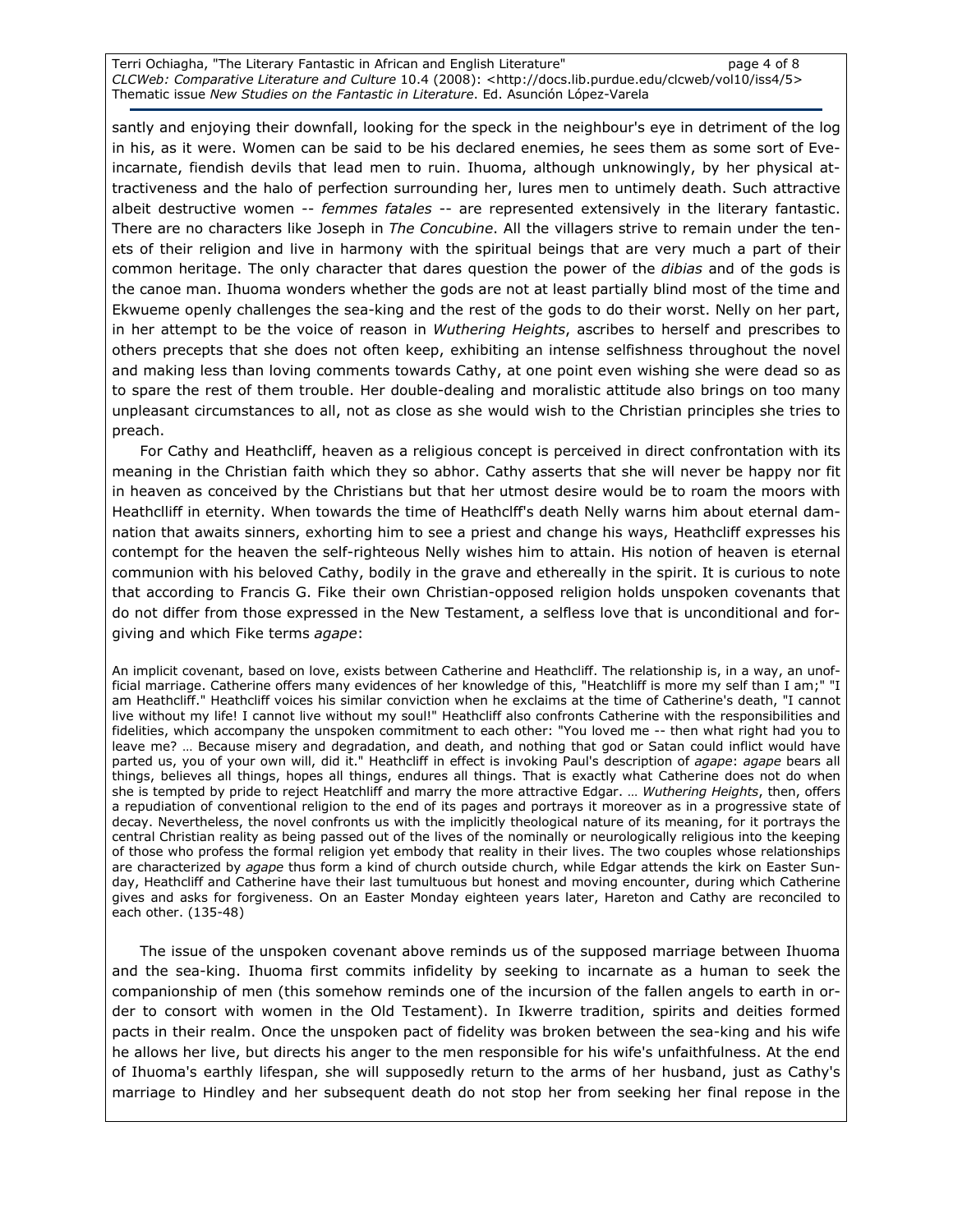Terri Ochiagha, "The Literary Fantastic in African and English Literature" example and the page 4 of 8 CLCWeb: Comparative Literature and Culture 10.4 (2008): <http://docs.lib.purdue.edu/clcweb/vol10/iss4/5> Thematic issue New Studies on the Fantastic in Literature. Ed. Asunción López-Varela

santly and enjoying their downfall, looking for the speck in the neighbour's eye in detriment of the log in his, as it were. Women can be said to be his declared enemies, he sees them as some sort of Eveincarnate, fiendish devils that lead men to ruin. Ihuoma, although unknowingly, by her physical attractiveness and the halo of perfection surrounding her, lures men to untimely death. Such attractive albeit destructive women -- femmes fatales -- are represented extensively in the literary fantastic. There are no characters like Joseph in The Concubine. All the villagers strive to remain under the tenets of their religion and live in harmony with the spiritual beings that are very much a part of their common heritage. The only character that dares question the power of the dibias and of the gods is the canoe man. Ihuoma wonders whether the gods are not at least partially blind most of the time and Ekwueme openly challenges the sea-king and the rest of the gods to do their worst. Nelly on her part, in her attempt to be the voice of reason in Wuthering Heights, ascribes to herself and prescribes to others precepts that she does not often keep, exhibiting an intense selfishness throughout the novel and making less than loving comments towards Cathy, at one point even wishing she were dead so as to spare the rest of them trouble. Her double-dealing and moralistic attitude also brings on too many unpleasant circumstances to all, not as close as she would wish to the Christian principles she tries to preach.

For Cathy and Heathcliff, heaven as a religious concept is perceived in direct confrontation with its meaning in the Christian faith which they so abhor. Cathy asserts that she will never be happy nor fit in heaven as conceived by the Christians but that her utmost desire would be to roam the moors with Heathclliff in eternity. When towards the time of Heathclff's death Nelly warns him about eternal damnation that awaits sinners, exhorting him to see a priest and change his ways, Heathcliff expresses his contempt for the heaven the self-righteous Nelly wishes him to attain. His notion of heaven is eternal communion with his beloved Cathy, bodily in the grave and ethereally in the spirit. It is curious to note that according to Francis G. Fike their own Christian-opposed religion holds unspoken covenants that do not differ from those expressed in the New Testament, a selfless love that is unconditional and forgiving and which Fike terms agape:

An implicit covenant, based on love, exists between Catherine and Heathcliff. The relationship is, in a way, an unofficial marriage. Catherine offers many evidences of her knowledge of this, "Heatchliff is more my self than I am;" "I am Heathcliff." Heathcliff voices his similar conviction when he exclaims at the time of Catherine's death, "I cannot live without my life! I cannot live without my soul!" Heathcliff also confronts Catherine with the responsibilities and fidelities, which accompany the unspoken commitment to each other: "You loved me -- then what right had you to leave me? … Because misery and degradation, and death, and nothing that god or Satan could inflict would have parted us, you of your own will, did it." Heathcliff in effect is invoking Paul's description of agape: agape bears all things, believes all things, hopes all things, endures all things. That is exactly what Catherine does not do when she is tempted by pride to reject Heatchliff and marry the more attractive Edgar. ... Wuthering Heights, then, offers a repudiation of conventional religion to the end of its pages and portrays it moreover as in a progressive state of decay. Nevertheless, the novel confronts us with the implicitly theological nature of its meaning, for it portrays the central Christian reality as being passed out of the lives of the nominally or neurologically religious into the keeping of those who profess the formal religion yet embody that reality in their lives. The two couples whose relationships are characterized by *agape* thus form a kind of church outside church, while Edgar attends the kirk on Easter Sunday, Heathcliff and Catherine have their last tumultuous but honest and moving encounter, during which Catherine gives and asks for forgiveness. On an Easter Monday eighteen years later, Hareton and Cathy are reconciled to each other. (135-48)

The issue of the unspoken covenant above reminds us of the supposed marriage between Ihuoma and the sea-king. Ihuoma first commits infidelity by seeking to incarnate as a human to seek the companionship of men (this somehow reminds one of the incursion of the fallen angels to earth in order to consort with women in the Old Testament). In Ikwerre tradition, spirits and deities formed pacts in their realm. Once the unspoken pact of fidelity was broken between the sea-king and his wife he allows her live, but directs his anger to the men responsible for his wife's unfaithfulness. At the end of Ihuoma's earthly lifespan, she will supposedly return to the arms of her husband, just as Cathy's marriage to Hindley and her subsequent death do not stop her from seeking her final repose in the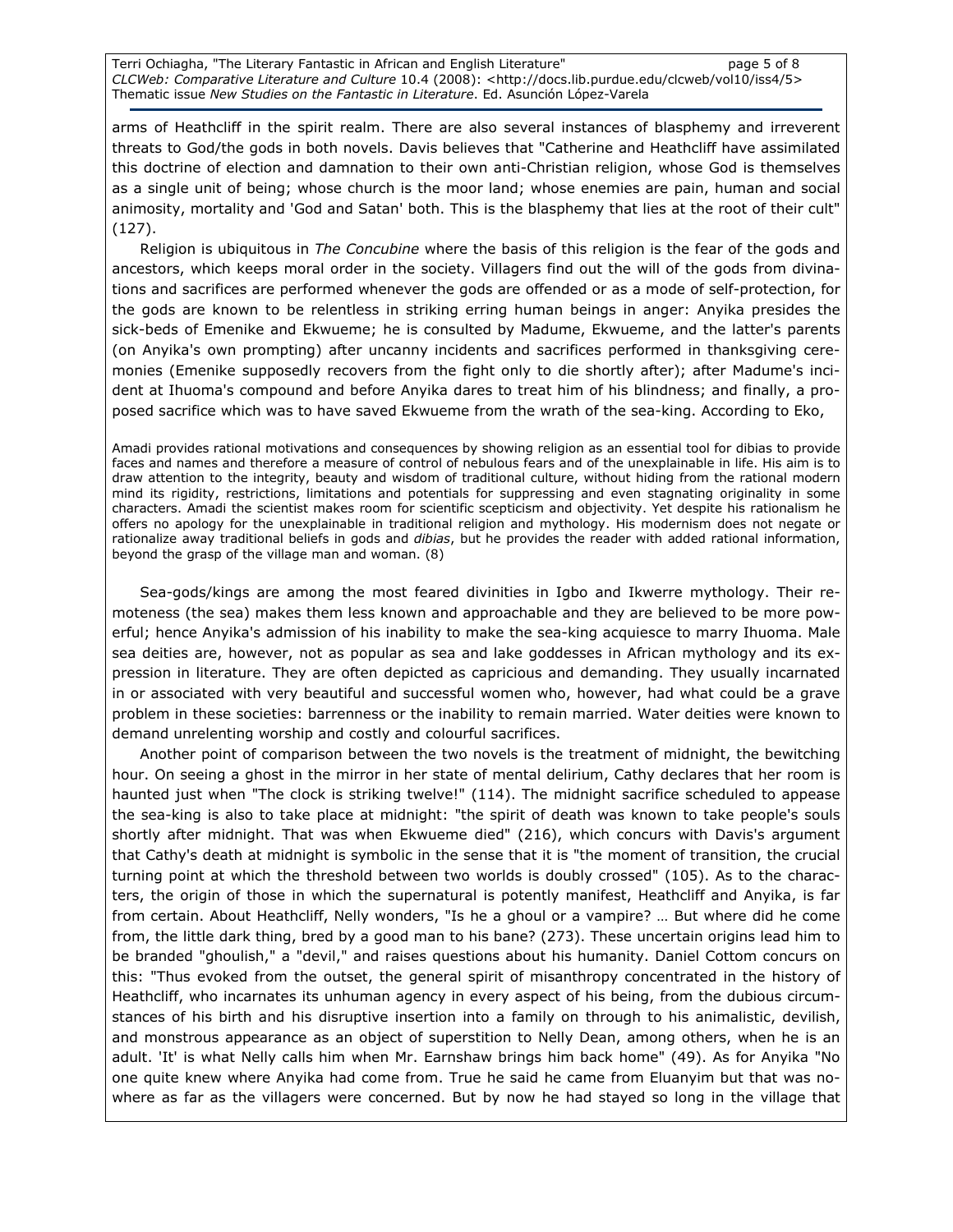Terri Ochiagha, "The Literary Fantastic in African and English Literature" page 5 of 8 CLCWeb: Comparative Literature and Culture 10.4 (2008): <http://docs.lib.purdue.edu/clcweb/vol10/iss4/5> Thematic issue New Studies on the Fantastic in Literature. Ed. Asunción López-Varela

arms of Heathcliff in the spirit realm. There are also several instances of blasphemy and irreverent threats to God/the gods in both novels. Davis believes that "Catherine and Heathcliff have assimilated this doctrine of election and damnation to their own anti-Christian religion, whose God is themselves as a single unit of being; whose church is the moor land; whose enemies are pain, human and social animosity, mortality and 'God and Satan' both. This is the blasphemy that lies at the root of their cult" (127).

Religion is ubiquitous in The Concubine where the basis of this religion is the fear of the gods and ancestors, which keeps moral order in the society. Villagers find out the will of the gods from divinations and sacrifices are performed whenever the gods are offended or as a mode of self-protection, for the gods are known to be relentless in striking erring human beings in anger: Anyika presides the sick-beds of Emenike and Ekwueme; he is consulted by Madume, Ekwueme, and the latter's parents (on Anyika's own prompting) after uncanny incidents and sacrifices performed in thanksgiving ceremonies (Emenike supposedly recovers from the fight only to die shortly after); after Madume's incident at Ihuoma's compound and before Anyika dares to treat him of his blindness; and finally, a proposed sacrifice which was to have saved Ekwueme from the wrath of the sea-king. According to Eko,

Amadi provides rational motivations and consequences by showing religion as an essential tool for dibias to provide faces and names and therefore a measure of control of nebulous fears and of the unexplainable in life. His aim is to draw attention to the integrity, beauty and wisdom of traditional culture, without hiding from the rational modern mind its rigidity, restrictions, limitations and potentials for suppressing and even stagnating originality in some characters. Amadi the scientist makes room for scientific scepticism and objectivity. Yet despite his rationalism he offers no apology for the unexplainable in traditional religion and mythology. His modernism does not negate or rationalize away traditional beliefs in gods and dibias, but he provides the reader with added rational information, beyond the grasp of the village man and woman. (8)

Sea-gods/kings are among the most feared divinities in Igbo and Ikwerre mythology. Their remoteness (the sea) makes them less known and approachable and they are believed to be more powerful; hence Anyika's admission of his inability to make the sea-king acquiesce to marry Ihuoma. Male sea deities are, however, not as popular as sea and lake goddesses in African mythology and its expression in literature. They are often depicted as capricious and demanding. They usually incarnated in or associated with very beautiful and successful women who, however, had what could be a grave problem in these societies: barrenness or the inability to remain married. Water deities were known to demand unrelenting worship and costly and colourful sacrifices.

Another point of comparison between the two novels is the treatment of midnight, the bewitching hour. On seeing a ghost in the mirror in her state of mental delirium, Cathy declares that her room is haunted just when "The clock is striking twelve!" (114). The midnight sacrifice scheduled to appease the sea-king is also to take place at midnight: "the spirit of death was known to take people's souls shortly after midnight. That was when Ekwueme died" (216), which concurs with Davis's argument that Cathy's death at midnight is symbolic in the sense that it is "the moment of transition, the crucial turning point at which the threshold between two worlds is doubly crossed" (105). As to the characters, the origin of those in which the supernatural is potently manifest, Heathcliff and Anyika, is far from certain. About Heathcliff, Nelly wonders, "Is he a ghoul or a vampire? … But where did he come from, the little dark thing, bred by a good man to his bane? (273). These uncertain origins lead him to be branded "ghoulish," a "devil," and raises questions about his humanity. Daniel Cottom concurs on this: "Thus evoked from the outset, the general spirit of misanthropy concentrated in the history of Heathcliff, who incarnates its unhuman agency in every aspect of his being, from the dubious circumstances of his birth and his disruptive insertion into a family on through to his animalistic, devilish, and monstrous appearance as an object of superstition to Nelly Dean, among others, when he is an adult. 'It' is what Nelly calls him when Mr. Earnshaw brings him back home" (49). As for Anyika "No one quite knew where Anyika had come from. True he said he came from Eluanyim but that was nowhere as far as the villagers were concerned. But by now he had stayed so long in the village that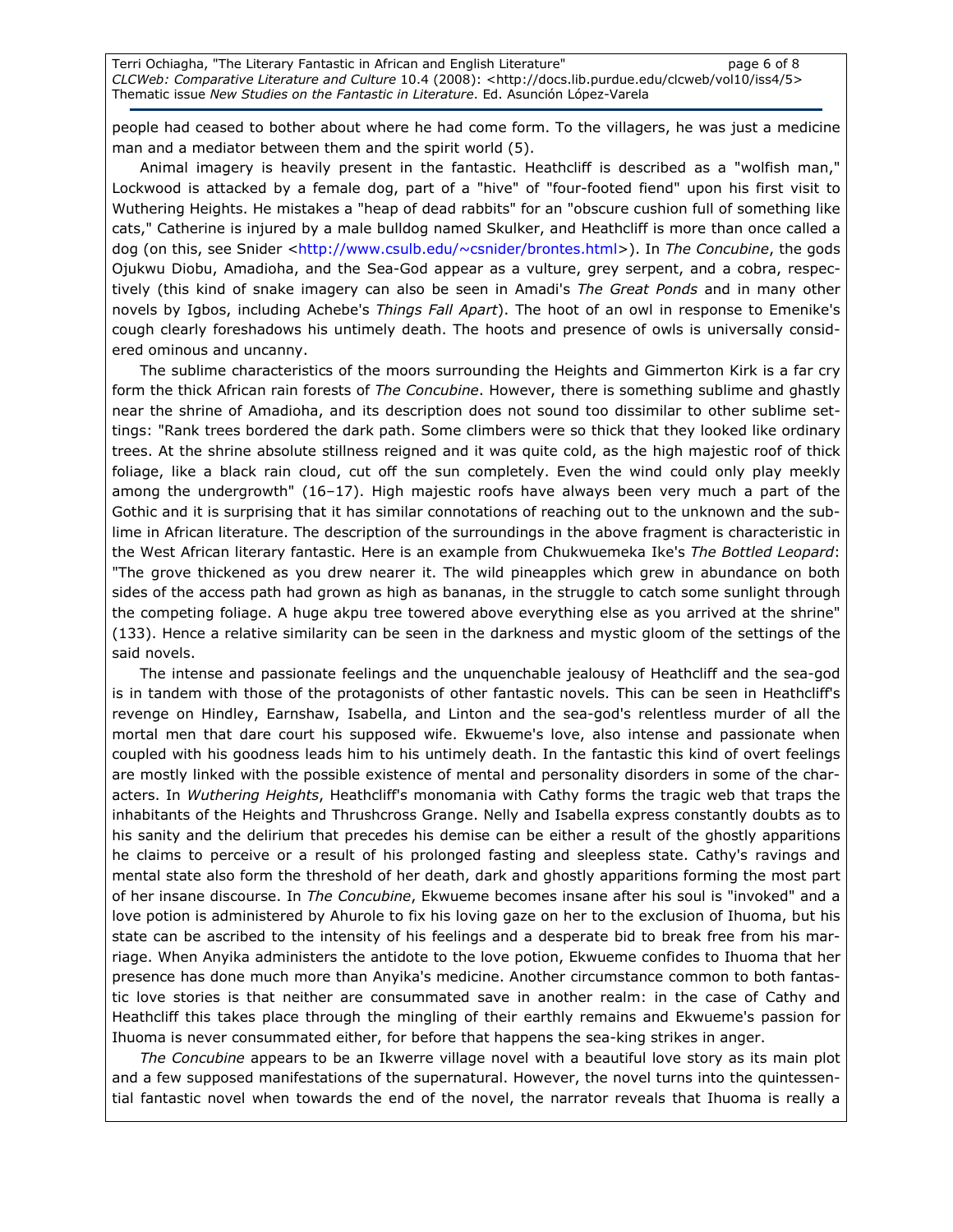people had ceased to bother about where he had come form. To the villagers, he was just a medicine man and a mediator between them and the spirit world (5).

Animal imagery is heavily present in the fantastic. Heathcliff is described as a "wolfish man," Lockwood is attacked by a female dog, part of a "hive" of "four-footed fiend" upon his first visit to Wuthering Heights. He mistakes a "heap of dead rabbits" for an "obscure cushion full of something like cats," Catherine is injured by a male bulldog named Skulker, and Heathcliff is more than once called a dog (on this, see Snider <http://www.csulb.edu/~csnider/brontes.html>). In The Concubine, the gods Ojukwu Diobu, Amadioha, and the Sea-God appear as a vulture, grey serpent, and a cobra, respectively (this kind of snake imagery can also be seen in Amadi's The Great Ponds and in many other novels by Igbos, including Achebe's Things Fall Apart). The hoot of an owl in response to Emenike's cough clearly foreshadows his untimely death. The hoots and presence of owls is universally considered ominous and uncanny.

The sublime characteristics of the moors surrounding the Heights and Gimmerton Kirk is a far cry form the thick African rain forests of The Concubine. However, there is something sublime and ghastly near the shrine of Amadioha, and its description does not sound too dissimilar to other sublime settings: "Rank trees bordered the dark path. Some climbers were so thick that they looked like ordinary trees. At the shrine absolute stillness reigned and it was quite cold, as the high majestic roof of thick foliage, like a black rain cloud, cut off the sun completely. Even the wind could only play meekly among the undergrowth" (16–17). High majestic roofs have always been very much a part of the Gothic and it is surprising that it has similar connotations of reaching out to the unknown and the sublime in African literature. The description of the surroundings in the above fragment is characteristic in the West African literary fantastic. Here is an example from Chukwuemeka Ike's The Bottled Leopard: "The grove thickened as you drew nearer it. The wild pineapples which grew in abundance on both sides of the access path had grown as high as bananas, in the struggle to catch some sunlight through the competing foliage. A huge akpu tree towered above everything else as you arrived at the shrine" (133). Hence a relative similarity can be seen in the darkness and mystic gloom of the settings of the said novels.

The intense and passionate feelings and the unquenchable jealousy of Heathcliff and the sea-god is in tandem with those of the protagonists of other fantastic novels. This can be seen in Heathcliff's revenge on Hindley, Earnshaw, Isabella, and Linton and the sea-god's relentless murder of all the mortal men that dare court his supposed wife. Ekwueme's love, also intense and passionate when coupled with his goodness leads him to his untimely death. In the fantastic this kind of overt feelings are mostly linked with the possible existence of mental and personality disorders in some of the characters. In Wuthering Heights, Heathcliff's monomania with Cathy forms the tragic web that traps the inhabitants of the Heights and Thrushcross Grange. Nelly and Isabella express constantly doubts as to his sanity and the delirium that precedes his demise can be either a result of the ghostly apparitions he claims to perceive or a result of his prolonged fasting and sleepless state. Cathy's ravings and mental state also form the threshold of her death, dark and ghostly apparitions forming the most part of her insane discourse. In The Concubine, Ekwueme becomes insane after his soul is "invoked" and a love potion is administered by Ahurole to fix his loving gaze on her to the exclusion of Ihuoma, but his state can be ascribed to the intensity of his feelings and a desperate bid to break free from his marriage. When Anyika administers the antidote to the love potion, Ekwueme confides to Ihuoma that her presence has done much more than Anyika's medicine. Another circumstance common to both fantastic love stories is that neither are consummated save in another realm: in the case of Cathy and Heathcliff this takes place through the mingling of their earthly remains and Ekwueme's passion for Ihuoma is never consummated either, for before that happens the sea-king strikes in anger.

The Concubine appears to be an Ikwerre village novel with a beautiful love story as its main plot and a few supposed manifestations of the supernatural. However, the novel turns into the quintessential fantastic novel when towards the end of the novel, the narrator reveals that Ihuoma is really a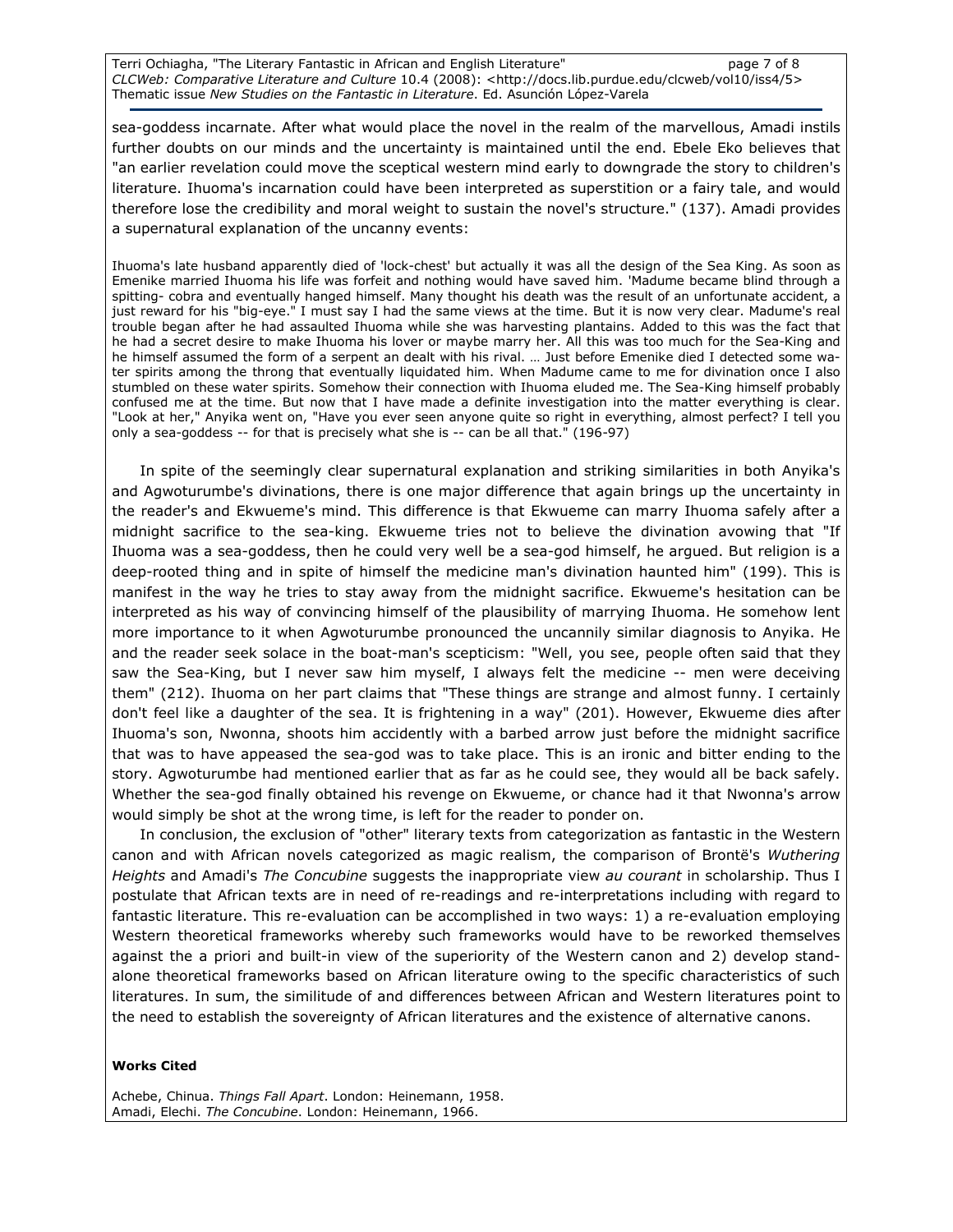Terri Ochiagha, "The Literary Fantastic in African and English Literature" example 2 page 7 of 8 CLCWeb: Comparative Literature and Culture 10.4 (2008): <http://docs.lib.purdue.edu/clcweb/vol10/iss4/5> Thematic issue New Studies on the Fantastic in Literature. Ed. Asunción López-Varela

sea-goddess incarnate. After what would place the novel in the realm of the marvellous, Amadi instils further doubts on our minds and the uncertainty is maintained until the end. Ebele Eko believes that "an earlier revelation could move the sceptical western mind early to downgrade the story to children's literature. Ihuoma's incarnation could have been interpreted as superstition or a fairy tale, and would therefore lose the credibility and moral weight to sustain the novel's structure." (137). Amadi provides a supernatural explanation of the uncanny events:

Ihuoma's late husband apparently died of 'lock-chest' but actually it was all the design of the Sea King. As soon as Emenike married Ihuoma his life was forfeit and nothing would have saved him. 'Madume became blind through a spitting- cobra and eventually hanged himself. Many thought his death was the result of an unfortunate accident, a just reward for his "big-eye." I must say I had the same views at the time. But it is now very clear. Madume's real trouble began after he had assaulted Ihuoma while she was harvesting plantains. Added to this was the fact that he had a secret desire to make Ihuoma his lover or maybe marry her. All this was too much for the Sea-King and he himself assumed the form of a serpent an dealt with his rival. … Just before Emenike died I detected some water spirits among the throng that eventually liquidated him. When Madume came to me for divination once I also stumbled on these water spirits. Somehow their connection with Ihuoma eluded me. The Sea-King himself probably confused me at the time. But now that I have made a definite investigation into the matter everything is clear. "Look at her," Anyika went on, "Have you ever seen anyone quite so right in everything, almost perfect? I tell you only a sea-goddess -- for that is precisely what she is -- can be all that." (196-97)

In spite of the seemingly clear supernatural explanation and striking similarities in both Anyika's and Agwoturumbe's divinations, there is one major difference that again brings up the uncertainty in the reader's and Ekwueme's mind. This difference is that Ekwueme can marry Ihuoma safely after a midnight sacrifice to the sea-king. Ekwueme tries not to believe the divination avowing that "If Ihuoma was a sea-goddess, then he could very well be a sea-god himself, he argued. But religion is a deep-rooted thing and in spite of himself the medicine man's divination haunted him" (199). This is manifest in the way he tries to stay away from the midnight sacrifice. Ekwueme's hesitation can be interpreted as his way of convincing himself of the plausibility of marrying Ihuoma. He somehow lent more importance to it when Agwoturumbe pronounced the uncannily similar diagnosis to Anyika. He and the reader seek solace in the boat-man's scepticism: "Well, you see, people often said that they saw the Sea-King, but I never saw him myself, I always felt the medicine -- men were deceiving them" (212). Ihuoma on her part claims that "These things are strange and almost funny. I certainly don't feel like a daughter of the sea. It is frightening in a way" (201). However, Ekwueme dies after Ihuoma's son, Nwonna, shoots him accidently with a barbed arrow just before the midnight sacrifice that was to have appeased the sea-god was to take place. This is an ironic and bitter ending to the story. Agwoturumbe had mentioned earlier that as far as he could see, they would all be back safely. Whether the sea-god finally obtained his revenge on Ekwueme, or chance had it that Nwonna's arrow would simply be shot at the wrong time, is left for the reader to ponder on.

In conclusion, the exclusion of "other" literary texts from categorization as fantastic in the Western canon and with African novels categorized as magic realism, the comparison of Brontë's Wuthering Heights and Amadi's The Concubine suggests the inappropriate view au courant in scholarship. Thus I postulate that African texts are in need of re-readings and re-interpretations including with regard to fantastic literature. This re-evaluation can be accomplished in two ways: 1) a re-evaluation employing Western theoretical frameworks whereby such frameworks would have to be reworked themselves against the a priori and built-in view of the superiority of the Western canon and 2) develop standalone theoretical frameworks based on African literature owing to the specific characteristics of such literatures. In sum, the similitude of and differences between African and Western literatures point to the need to establish the sovereignty of African literatures and the existence of alternative canons.

#### Works Cited

Achebe, Chinua. Things Fall Apart. London: Heinemann, 1958. Amadi, Elechi. The Concubine. London: Heinemann, 1966.